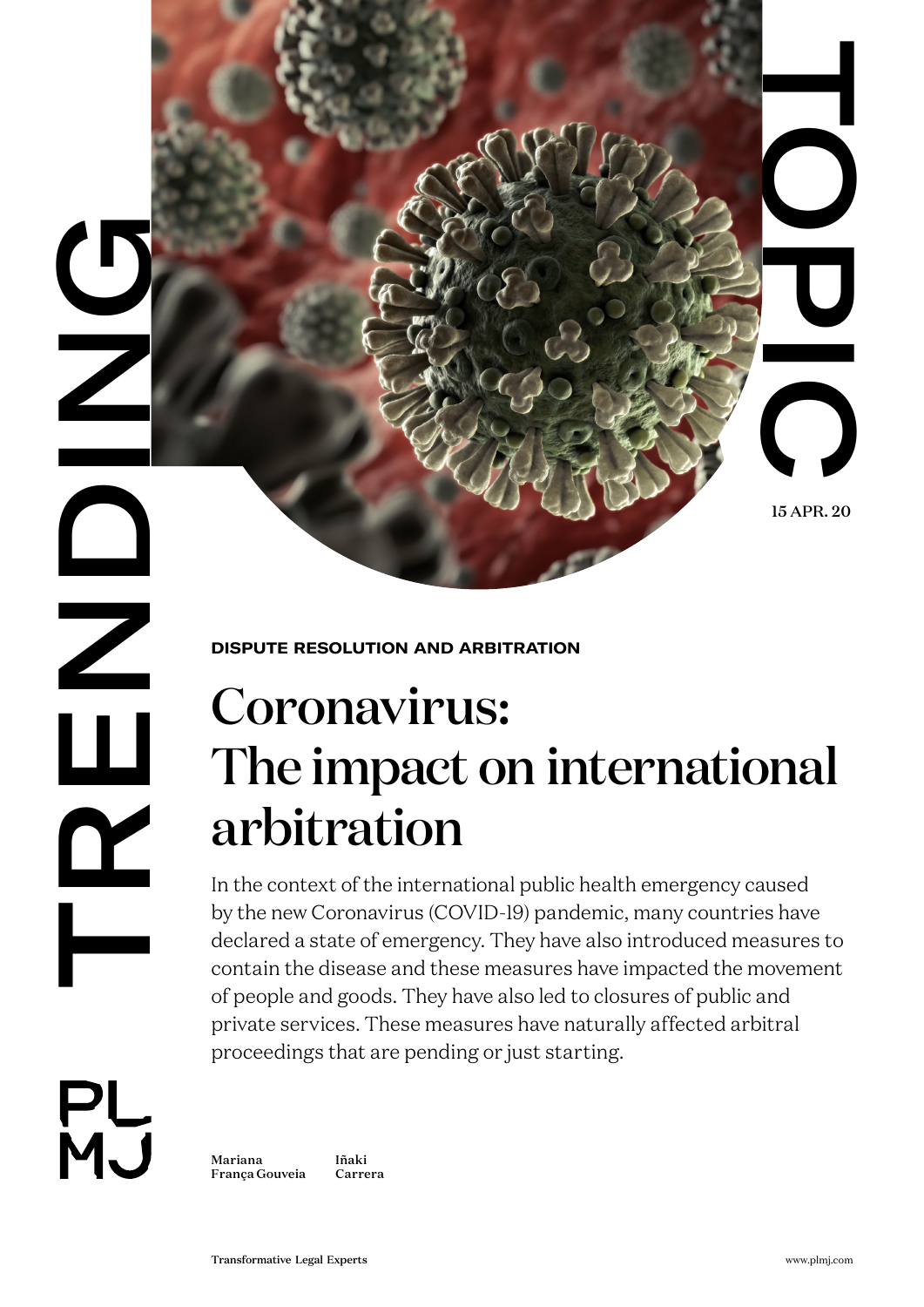15 APR. 20

## **DISPUTE RESOLUTION AND ARBITRATION**

# Coronavirus: The impact on international arbitration

THE CONDUCT CONDUCT CONDUCT CONDUCT CONDUCT CONDUCT CONDUCT CONDUCT CONDUCT CONDUCT CONDUCT CONDUCT CONDUCT CONDUCT CONDUCT CONDUCT CONDUCT CONDUCT CONDUCT CONDUCT CONDUCT CONDUCT CONDUCT CONDUCT CONDUCT CONDUCT CONDUCT CO In the context of the international public health emergency caused by the new Coronavirus (COVID-19) pandemic, many countries have declared a state of emergency. They have also introduced measures to contain the disease and these measures have impacted the movement of people and goods. They have also led to closures of public and private services. These measures have naturally affected arbitral proceedings that are pending or just starting.

**PL**<br>MJ

L.

**DRENDING** 

 $\sum$ 

[Mariana](https://www.plmj.com/en/people/partners/Mariana-Franca-Gouveia/16719/)  [França Gouveia](https://www.plmj.com/en/people/partners/Mariana-Franca-Gouveia/16719/) [Iñaki](https://www.plmj.com/en/people/associates/Inaki-Carrera/13892/)  [Carrera](https://www.plmj.com/en/people/associates/Inaki-Carrera/13892/)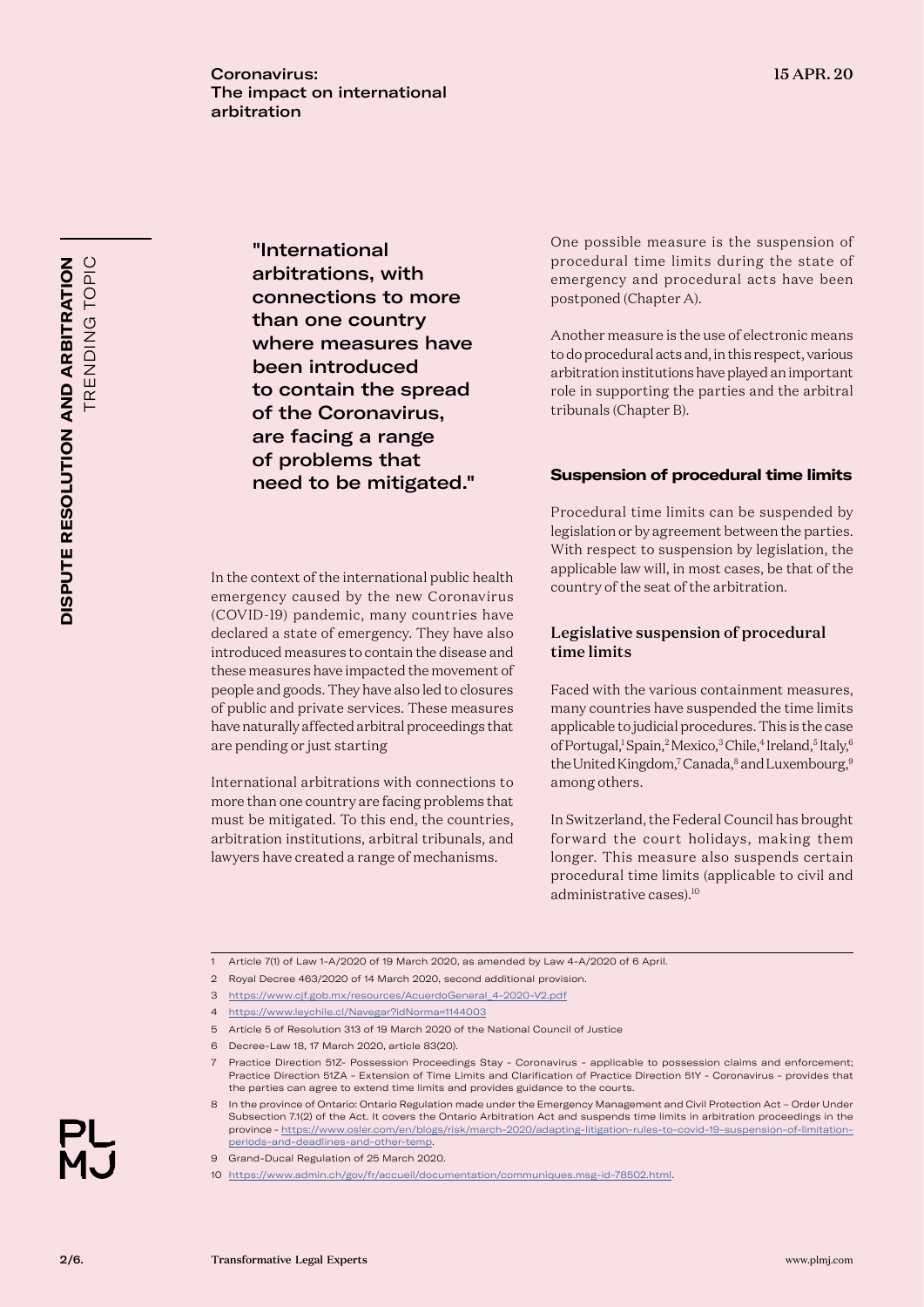"International arbitrations, with connections to more than one country where measures have been introduced to contain the spread of the Coronavirus, are facing a range of problems that need to be mitigated."

In the context of the international public health emergency caused by the new Coronavirus (COVID-19) pandemic, many countries have declared a state of emergency. They have also introduced measures to contain the disease and these measures have impacted the movement of people and goods. They have also led to closures of public and private services. These measures have naturally affected arbitral proceedings that

International arbitrations with connections to more than one country are facing problems that must be mitigated. To this end, the countries, arbitration institutions, arbitral tribunals, and lawyers have created a range of mechanisms.

are pending or just starting

One possible measure is the suspension of procedural time limits during the state of emergency and procedural acts have been postponed (Chapter A).

Another measure is the use of electronic means to do procedural acts and, in this respect, various arbitration institutions have played an important role in supporting the parties and the arbitral tribunals (Chapter B).

### **Suspension of procedural time limits**

Procedural time limits can be suspended by legislation or by agreement between the parties. With respect to suspension by legislation, the applicable law will, in most cases, be that of the country of the seat of the arbitration.

#### Legislative suspension of procedural time limits

Faced with the various containment measures, many countries have suspended the time limits applicable to judicial procedures. This is the case of Portugal,<sup>1</sup> Spain,<sup>2</sup> Mexico,<sup>3</sup> Chile,<sup>4</sup> Ireland,<sup>5</sup> Italy,<sup>6</sup> the United Kingdom,<sup>7</sup> Canada,<sup>8</sup> and Luxembourg,<sup>9</sup> among others.

In Switzerland, the Federal Council has brought forward the court holidays, making them longer. This measure also suspends certain procedural time limits (applicable to civil and administrative cases).10



<sup>1</sup> Article 7(1) of Law 1-A/2020 of 19 March 2020, as amended by Law 4-A/2020 of 6 April.

<sup>2</sup> Royal Decree 463/2020 of 14 March 2020, second additional provision.

<sup>3</sup> [https://www.cjf.gob.mx/resources/AcuerdoGeneral\\_4-2020-V2.pdf](https://www.cjf.gob.mx/resources/AcuerdoGeneral_4-2020-V2.pdf)

<sup>4</sup> <https://www.leychile.cl/Navegar?idNorma=1144003>

<sup>5</sup> Article 5 of Resolution 313 of 19 March 2020 of the National Council of Justice

<sup>6</sup> Decree-Law 18, 17 March 2020, article 83(20).

<sup>7</sup> Practice Direction 51Z- Possession Proceedings Stay - Coronavirus - applicable to possession claims and enforcement; Practice Direction 51ZA - Extension of Time Limits and Clarification of Practice Direction 51Y - Coronavirus - provides that the parties can agree to extend time limits and provides guidance to the courts.

<sup>8</sup> In the province of Ontario: Ontario Regulation made under the Emergency Management and Civil Protection Act – Order Under Subsection 7.1(2) of the Act. It covers the Ontario Arbitration Act and suspends time limits in arbitration proceedings in the province - [https://www.osler.com/en/blogs/risk/march-2020/adapting-litigation-rules-to-covid-19-suspension-of-limitation](https://www.osler.com/en/blogs/risk/march-2020/adapting-litigation-rules-to-covid-19-suspension-of-limitation-periods-and-deadlines-and-other-temp)[periods-and-deadlines-and-other-temp.](https://www.osler.com/en/blogs/risk/march-2020/adapting-litigation-rules-to-covid-19-suspension-of-limitation-periods-and-deadlines-and-other-temp)

<sup>9</sup> Grand-Ducal Regulation of 25 March 2020.

<sup>10</sup> [https://www.admin.ch/gov/fr/accueil/documentation/communiques.msg-id-78502.html.](https://www.admin.ch/gov/fr/accueil/documentation/communiques.msg-id-78502.html)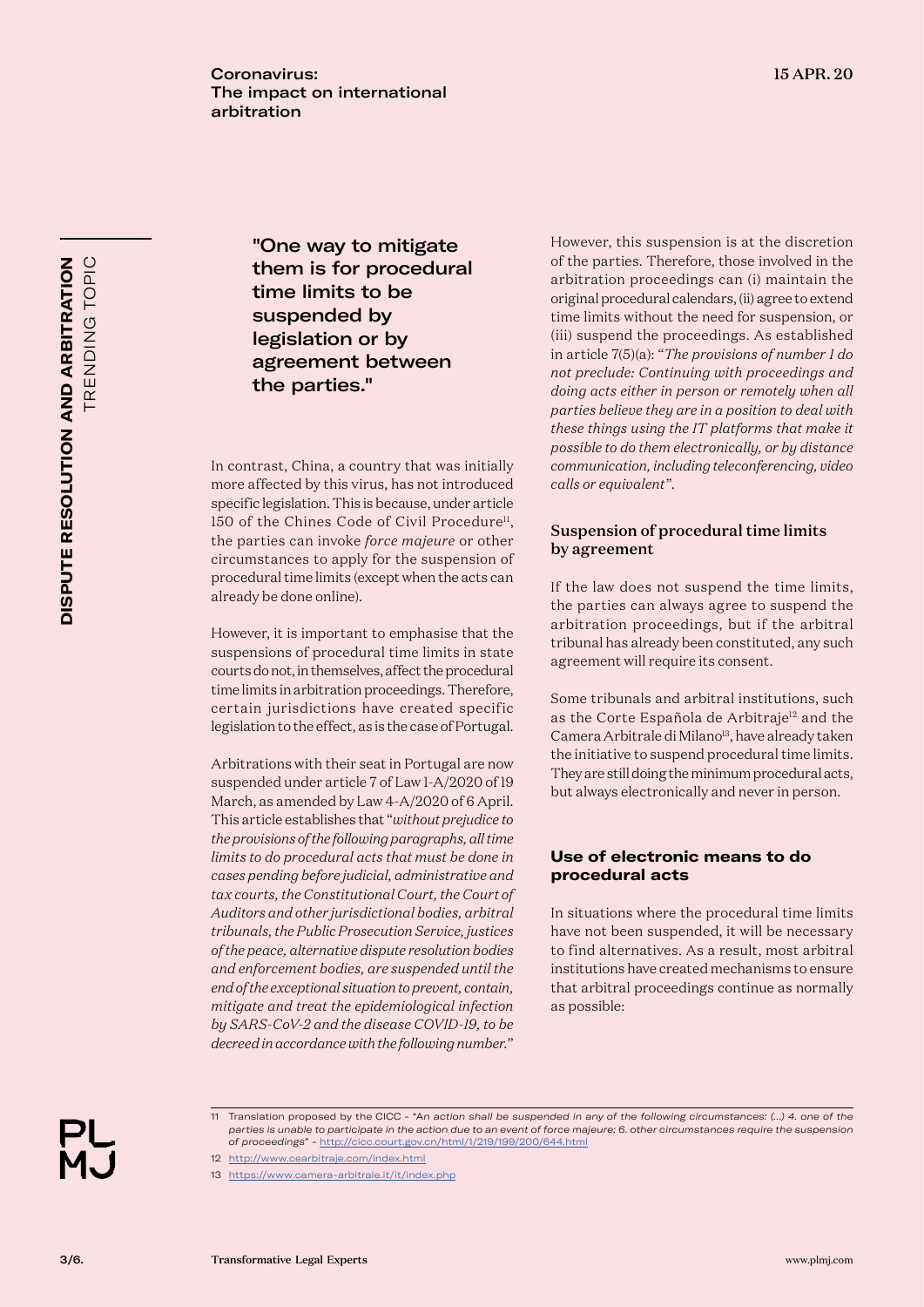TRENDING TOPIC **DISPUTE RESOLUTION AND ARBITRATION TRENDING TOPIC DISPUTE RESOLUTION AND ARBITRATION**

"One way to mitigate them is for procedural time limits to be suspended by legislation or by agreement between the parties."

In contrast, China, a country that was initially more affected by this virus, has not introduced specific legislation. This is because, under article 150 of the Chines Code of Civil Procedure<sup>11</sup>, the parties can invoke *force majeure* or other circumstances to apply for the suspension of procedural time limits (except when the acts can already be done online).

However, it is important to emphasise that the suspensions of procedural time limits in state courts do not, in themselves, affect the procedural time limits in arbitration proceedings. Therefore, certain jurisdictions have created specific legislation to the effect, as is the case of Portugal.

Arbitrations with their seat in Portugal are now suspended under article 7 of Law 1-A/2020 of 19 March, as amended by Law 4-A/2020 of 6 April. This article establishes that "*without prejudice to the provisions of the following paragraphs, all time limits to do procedural acts that must be done in cases pending before judicial, administrative and tax courts, the Constitutional Court, the Court of Auditors and other jurisdictional bodies, arbitral tribunals, the Public Prosecution Service, justices of the peace, alternative dispute resolution bodies and enforcement bodies, are suspended until the end of the exceptional situation to prevent, contain, mitigate and treat the epidemiological infection by SARS-CoV-2 and the disease COVID-19, to be decreed in accordance with the following number.*"

However, this suspension is at the discretion of the parties. Therefore, those involved in the arbitration proceedings can (i) maintain the original procedural calendars, (ii) agree to extend time limits without the need for suspension, or (iii) suspend the proceedings. As established in article 7(5)(a): "*The provisions of number 1 do not preclude: Continuing with proceedings and doing acts either in person or remotely when all parties believe they are in a position to deal with these things using the IT platforms that make it possible to do them electronically, or by distance communication, including teleconferencing, video calls or equivalent*".

#### Suspension of procedural time limits by agreement

If the law does not suspend the time limits, the parties can always agree to suspend the arbitration proceedings, but if the arbitral tribunal has already been constituted, any such agreement will require its consent.

Some tribunals and arbitral institutions, such as the Corte Española de Arbitraje<sup>12</sup> and the Camera Arbitrale di Milano<sup>13</sup>, have already taken the initiative to suspend procedural time limits. They are still doing the minimum procedural acts, but always electronically and never in person.

#### **Use of electronic means to do procedural acts**

In situations where the procedural time limits have not been suspended, it will be necessary to find alternatives. As a result, most arbitral institutions have created mechanisms to ensure that arbitral proceedings continue as normally as possible:



11 Translation proposed by the CICC - "A*n action shall be suspended in any of the following circumstances: (…) 4. one of the parties is unable to participate in the action due to an event of force majeure; 6. other circumstances require the suspension of proceedings*" -<http://cicc.court.gov.cn/html/1/219/199/200/644.html>

13 <https://www.camera-arbitrale.it/it/index.php>

<sup>12</sup> <http://www.cearbitraje.com/index.html>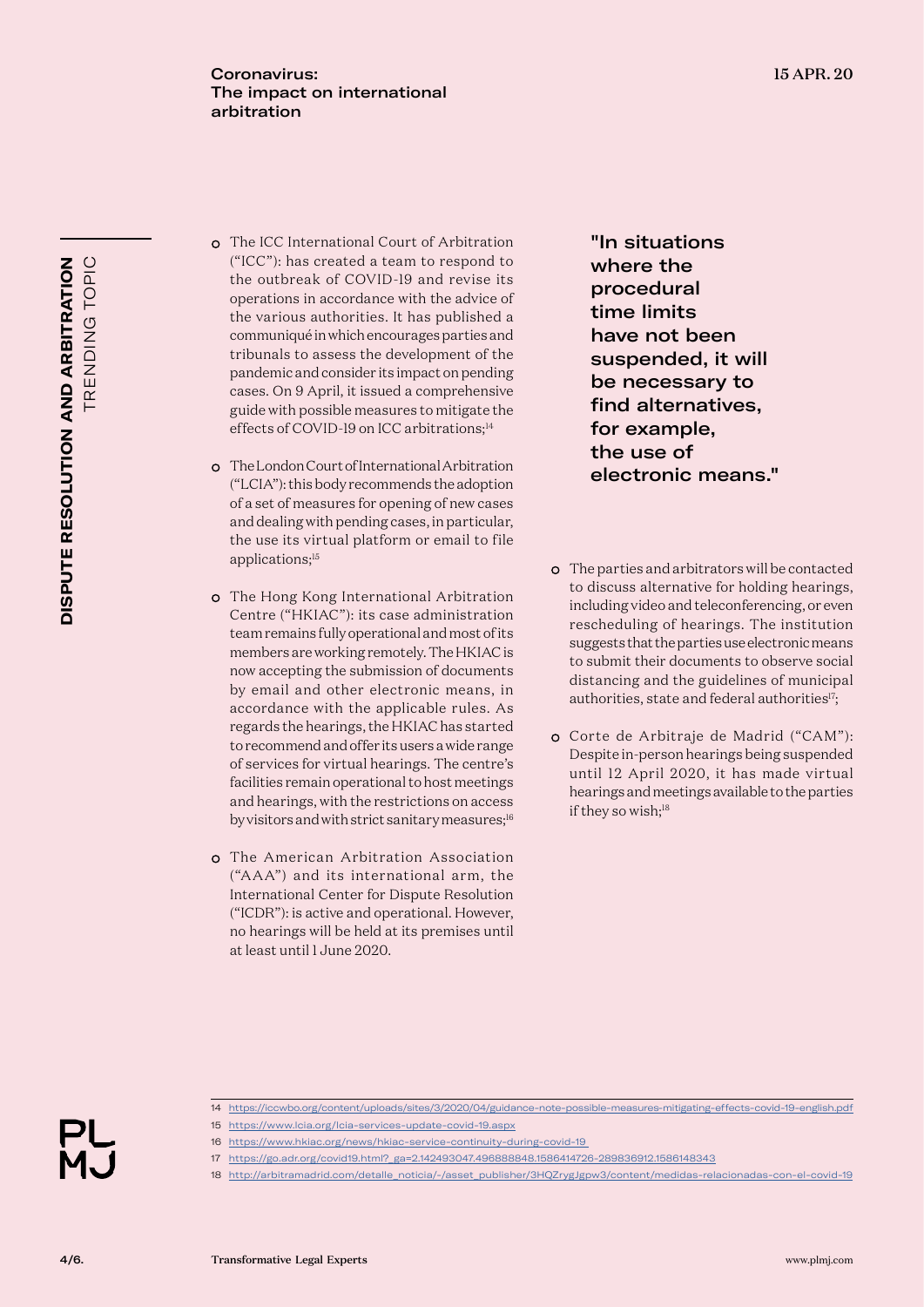- The ICC International Court of Arbitration ("ICC"): has created a team to respond to the outbreak of COVID-19 and revise its operations in accordance with the advice of the various authorities. It has published a communiqué in which encourages parties and tribunals to assess the development of the pandemic and consider its impact on pending cases. On 9 April, it issued a comprehensive guide with possible measures to mitigate the effects of COVID-19 on ICC arbitrations;<sup>14</sup>
- The London Court of International Arbitration ("LCIA"): this body recommends the adoption of a set of measures for opening of new cases and dealing with pending cases, in particular, the use its virtual platform or email to file applications;<sup>15</sup>
- The Hong Kong International Arbitration Centre ("HKIAC"): its case administration team remains fully operational and most of its members are working remotely. The HKIAC is now accepting the submission of documents by email and other electronic means, in accordance with the applicable rules. As regards the hearings, the HKIAC has started to recommend and offer its users a wide range of services for virtual hearings. The centre's facilities remain operational to host meetings and hearings, with the restrictions on access by visitors and with strict sanitary measures;<sup>16</sup>
- The American Arbitration Association ("AAA") and its international arm, the International Center for Dispute Resolution ("ICDR"): is active and operational. However, no hearings will be held at its premises until at least until 1 June 2020.

"In situations where the procedural time limits have not been suspended, it will be necessary to find alternatives, for example, the use of electronic means."

- The parties and arbitrators will be contacted to discuss alternative for holding hearings, including video and teleconferencing, or even rescheduling of hearings. The institution suggests that the parties use electronic means to submit their documents to observe social distancing and the guidelines of municipal authorities, state and federal authorities<sup>17</sup>;
- Corte de Arbitraje de Madrid ("CAM"): Despite in-person hearings being suspended until 12 April 2020, it has made virtual hearings and meetings available to the parties if they so wish;<sup>18</sup>

- 14 <https://iccwbo.org/content/uploads/sites/3/2020/04/guidance-note-possible-measures-mitigating-effects-covid-19-english.pdf>
- 15 <https://www.lcia.org/lcia-services-update-covid-19.aspx>
- 16 <https://www.hkiac.org/news/hkiac-service-continuity-during-covid-19>
- 17 [https://go.adr.org/covid19.html?\\_ga=2.142493047.496888848.1586414726-289836912.1586148343](https://go.adr.org/covid19.html?_ga=2.142493047.496888848.1586414726-289836912.1586148343)

18 [http://arbitramadrid.com/detalle\\_noticia/-/asset\\_publisher/3HQZrygJgpw3/content/medidas-relacionadas-con-el-covid-19](http://arbitramadrid.com/detalle_noticia/-/asset_publisher/3HQZrygJgpw3/content/medidas-relacionadas-con-el-covid-19)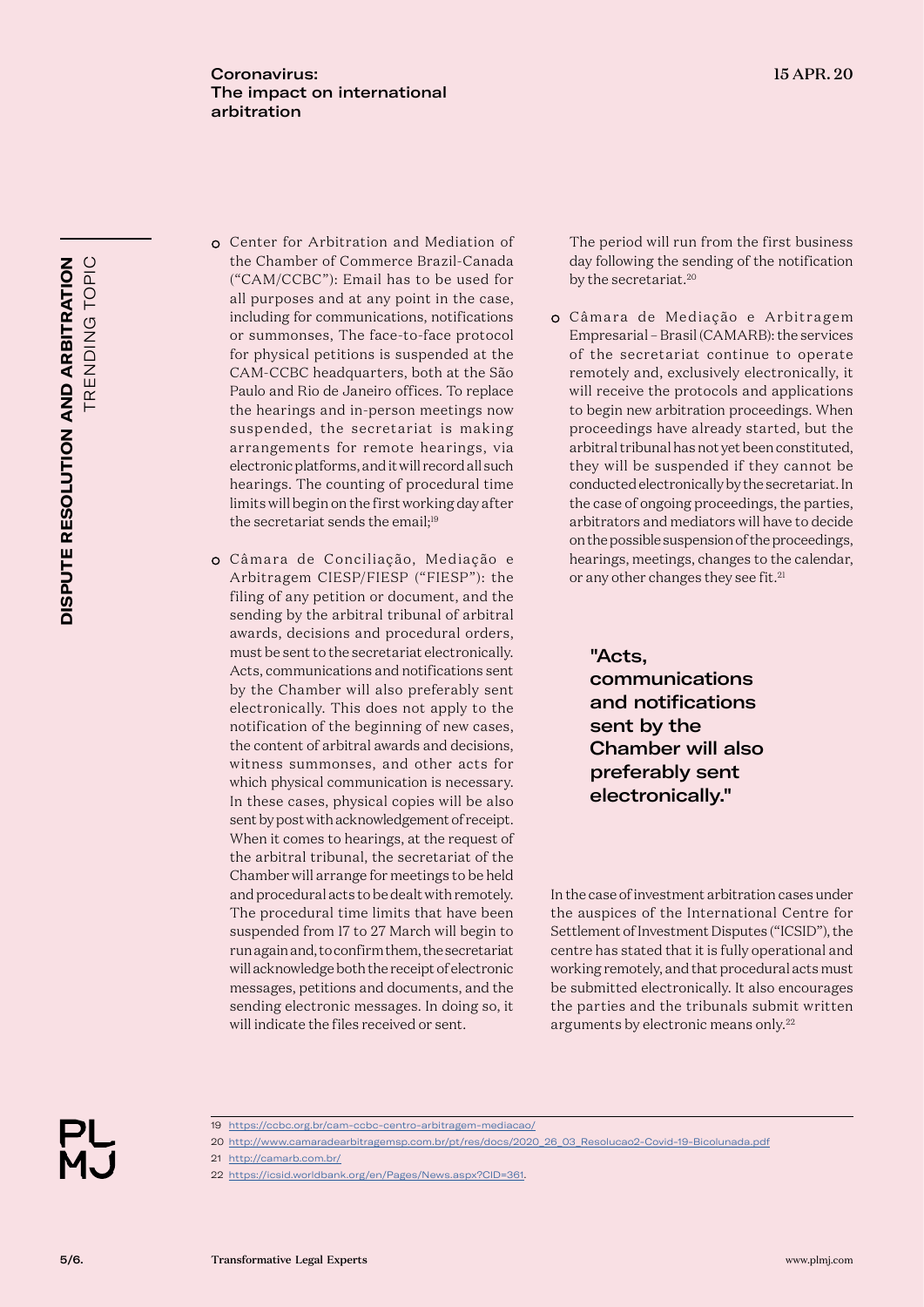- TRENDING TOPIC DISPUTE RESOLUTION AND ARBITRATION **TRENDING TOPIC DISPUTE RESOLUTION AND ARBITRATION**
- Center for Arbitration and Mediation of the Chamber of Commerce Brazil-Canada ("CAM/CCBC"): Email has to be used for all purposes and at any point in the case, including for communications, notifications or summonses, The face-to-face protocol for physical petitions is suspended at the CAM-CCBC headquarters, both at the São Paulo and Rio de Janeiro offices. To replace the hearings and in-person meetings now suspended, the secretariat is making arrangements for remote hearings, via electronic platforms, and it will record all such hearings. The counting of procedural time limits will begin on the first working day after the secretariat sends the email;<sup>19</sup>
- o Câmara de Conciliação, Mediação e Arbitragem CIESP/FIESP ("FIESP"): the filing of any petition or document, and the sending by the arbitral tribunal of arbitral awards, decisions and procedural orders, must be sent to the secretariat electronically. Acts, communications and notifications sent by the Chamber will also preferably sent electronically. This does not apply to the notification of the beginning of new cases, the content of arbitral awards and decisions, witness summonses, and other acts for which physical communication is necessary. In these cases, physical copies will be also sent by post with acknowledgement of receipt. When it comes to hearings, at the request of the arbitral tribunal, the secretariat of the Chamber will arrange for meetings to be held and procedural acts to be dealt with remotely. The procedural time limits that have been suspended from 17 to 27 March will begin to run again and, to confirm them, the secretariat will acknowledge both the receipt of electronic messages, petitions and documents, and the sending electronic messages. In doing so, it will indicate the files received or sent.

The period will run from the first business day following the sending of the notification by the secretariat.<sup>20</sup>

o Câmara de Mediação e Arbitragem Empresarial – Brasil (CAMARB): the services of the secretariat continue to operate remotely and, exclusively electronically, it will receive the protocols and applications to begin new arbitration proceedings. When proceedings have already started, but the arbitral tribunal has not yet been constituted, they will be suspended if they cannot be conducted electronically by the secretariat. In the case of ongoing proceedings, the parties, arbitrators and mediators will have to decide on the possible suspension of the proceedings, hearings, meetings, changes to the calendar, or any other changes they see fit.<sup>21</sup>

> "Acts, communications and notifications sent by the Chamber will also preferably sent electronically."

In the case of investment arbitration cases under the auspices of the International Centre for Settlement of Investment Disputes ("ICSID"), the centre has stated that it is fully operational and working remotely, and that procedural acts must be submitted electronically. It also encourages the parties and the tribunals submit written arguments by electronic means only.<sup>22</sup>

<sup>19</sup> [https://ccbc.org.br/cam-ccbc-centro-arbitragem-mediacao/](https://ccbc.org.br/cam-ccbc-centro-arbitragem-mediacao/en/)

<sup>20</sup> [http://www.camaradearbitragemsp.com.br/pt/res/docs/2020\\_26\\_03\\_Resolucao2-Covid-19-Bicolunada.pdf](http://www.camaradearbitragemsp.com.br/pt/res/docs/2020_26_03_Resolucao2-Covid-19-Bicolunada.pdf) 21 <http://camarb.com.br/>

<sup>22</sup> [https://icsid.worldbank.org/en/Pages/News.aspx?CID=361.](https://icsid.worldbank.org/en/Pages/News.aspx?CID=361)